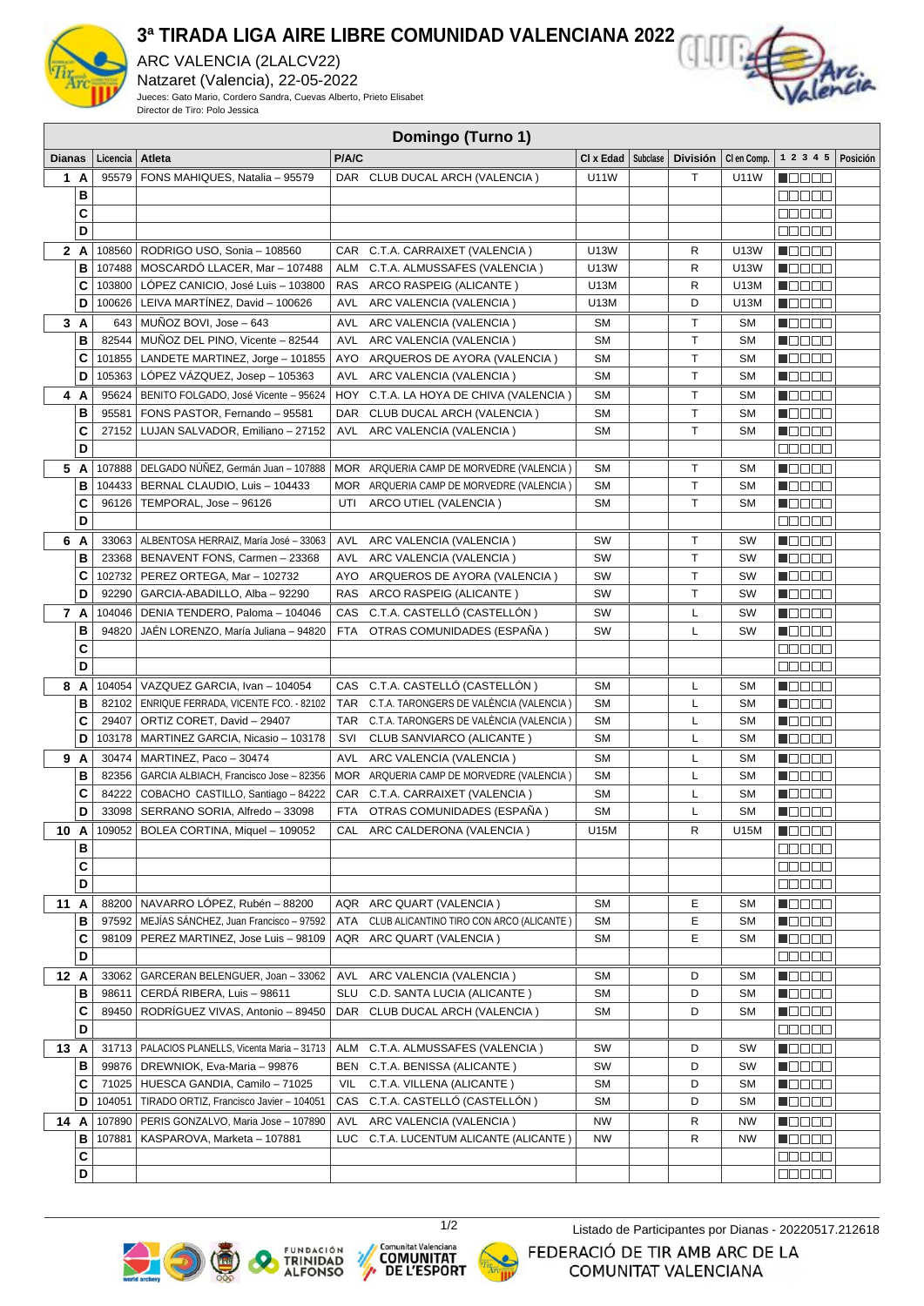

## **3ª TIRADA LIGA AIRE LIBRE COMUNIDAD VALENCIANA 2022**

ARC VALENCIA (2LALCV22) Natzaret (Valencia), 22-05-2022 Jueces: Gato Mario, Cordero Sandra, Cuevas Alberto, Prieto Elisabet Director de Tiro: Polo Jessica



|               | Domingo (Turno 1) |          |                                                  |            |                                          |                      |  |                 |             |                      |          |
|---------------|-------------------|----------|--------------------------------------------------|------------|------------------------------------------|----------------------|--|-----------------|-------------|----------------------|----------|
| <b>Dianas</b> |                   | Licencia | Atleta                                           | P/A/C      |                                          | CI x Edad   Subclase |  | <b>División</b> | CI en Comp. | 1 2 3 4 5            | Posición |
|               | 1 A               | 95579    | FONS MAHIQUES, Natalia - 95579                   |            | DAR CLUB DUCAL ARCH (VALENCIA)           | U11W                 |  | T.              | <b>U11W</b> | n mmmm               |          |
|               | в                 |          |                                                  |            |                                          |                      |  |                 |             | e e e e e            |          |
|               | C                 |          |                                                  |            |                                          |                      |  |                 |             | 88888                |          |
|               | D                 |          |                                                  |            |                                          |                      |  |                 |             | <b>ODDED</b>         |          |
|               | 2 A               |          | 108560   RODRIGO USO, Sonia - 108560             |            | CAR C.T.A. CARRAIXET (VALENCIA)          | U13W                 |  | R               | U13W        | <u> Nacio e</u>      |          |
|               | В                 | 107488   | MOSCARDÓ LLACER, Mar – 107488                    | ALM        | C.T.A. ALMUSSAFES (VALENCIA)             | U13W                 |  | R               | U13W        | Maaaa                |          |
|               | C                 |          | 103800   LÓPEZ CANICIO, José Luis - 103800       |            | RAS ARCO RASPEIG (ALICANTE)              | U13M                 |  | R               | U13M        | n Booo               |          |
|               | D                 | 100626   | LEIVA MARTINEZ, David - 100626                   | AVL        | ARC VALENCIA (VALENCIA)                  | U13M                 |  | D               | U13M        | HOOOO                |          |
|               |                   |          |                                                  |            |                                          |                      |  |                 |             |                      |          |
| 3A            |                   | 643      | MUÑOZ BOVI, Jose - 643                           | AVL        | ARC VALENCIA (VALENCIA)                  | <b>SM</b>            |  | Τ               | <b>SM</b>   | MOO 80               |          |
|               | в                 | 82544    | MUÑOZ DEL PINO, Vicente - 82544                  | AVL        | ARC VALENCIA (VALENCIA)                  | <b>SM</b>            |  | т               | <b>SM</b>   | <b>M</b> OOOC        |          |
|               | C                 | 101855   | LANDETE MARTINEZ, Jorge - 101855                 | AYO        | ARQUEROS DE AYORA (VALENCIA)             | <b>SM</b>            |  | Τ               | <b>SM</b>   | Maaaa                |          |
|               | D                 | 105363   | LÓPEZ VÁZQUEZ, Josep - 105363                    | AVL        | ARC VALENCIA (VALENCIA)                  | <b>SM</b>            |  | Τ               | <b>SM</b>   | HOOOO                |          |
|               | 4 A               | 95624    | BENITO FOLGADO, José Vicente - 95624             | HOY        | C.T.A. LA HOYA DE CHIVA (VALENCIA)       | <b>SM</b>            |  | Τ               | <b>SM</b>   | N OO O O             |          |
|               | В                 | 95581    | FONS PASTOR, Fernando - 95581                    | DAR        | CLUB DUCAL ARCH (VALENCIA)               | <b>SM</b>            |  | T               | <b>SM</b>   | <b>NOOOO</b>         |          |
|               | C                 | 27152    | LUJAN SALVADOR, Emiliano - 27152                 | AVL        | ARC VALENCIA (VALENCIA)                  | <b>SM</b>            |  | T               | <b>SM</b>   | $\blacksquare$       |          |
|               | D                 |          |                                                  |            |                                          |                      |  |                 |             | <b>00000</b>         |          |
|               | 5 A               | 107888   | DELGADO NÚÑEZ, Germán Juan - 107888              |            | MOR ARQUERIA CAMP DE MORVEDRE (VALENCIA) | <b>SM</b>            |  | Τ               | SM          | Maaaa                |          |
|               | В                 | 104433   | BERNAL CLAUDIO, Luis - 104433                    |            | MOR ARQUERIA CAMP DE MORVEDRE (VALENCIA) | <b>SM</b>            |  | T.              | <b>SM</b>   | HOOOO                |          |
|               | C                 | 96126    | TEMPORAL, Jose - 96126                           | UTI        | ARCO UTIEL (VALENCIA)                    | <b>SM</b>            |  | T               | <b>SM</b>   |                      |          |
|               | D                 |          |                                                  |            |                                          |                      |  |                 |             | 80000                |          |
| 6 A           |                   | 33063    | ALBENTOSA HERRAIZ. María José - 33063            | AVL        | ARC VALENCIA (VALENCIA)                  | SW                   |  | Τ               | SW          | MOOOO                |          |
|               | В                 |          | 23368   BENAVENT FONS, Carmen - 23368            |            | AVL ARC VALENCIA (VALENCIA)              | <b>SW</b>            |  | T               | SW          | Maaaa                |          |
|               | C                 |          | 102732   PEREZ ORTEGA, Mar - 102732              |            | AYO ARQUEROS DE AYORA (VALENCIA)         | SW                   |  | T.              | SW          | MOOO O               |          |
|               | D                 | 92290    | GARCIA-ABADILLO, Alba - 92290                    | <b>RAS</b> | ARCO RASPEIG (ALICANTE)                  | SW                   |  | T.              | SW          | N E E E E            |          |
| 7 A           |                   | 104046   | DENIA TENDERO, Paloma - 104046                   | CAS        | C.T.A. CASTELLÓ (CASTELLÓN )             | SW                   |  | L               | SW          | N E E E E            |          |
|               | В                 | 94820    | JAÉN LORENZO, María Juliana - 94820              | FTA        | OTRAS COMUNIDADES (ESPAÑA)               | SW                   |  | L               | SW          | Maaaa                |          |
|               | C                 |          |                                                  |            |                                          |                      |  |                 |             | 00000                |          |
|               | D                 |          |                                                  |            |                                          |                      |  |                 |             | an de s              |          |
|               | 8 A               | 104054   | VAZQUEZ GARCIA, Ivan - 104054                    |            | CAS C.T.A. CASTELLÓ (CASTELLÓN)          | <b>SM</b>            |  | L               | <b>SM</b>   | n dia Gia            |          |
|               | в                 | 82102    | <b>ENRIQUE FERRADA, VICENTE FCO. - 82102</b>     | <b>TAR</b> | C.T.A. TARONGERS DE VALÉNCIA (VALENCIA)  | <b>SM</b>            |  | L               | <b>SM</b>   | <b>N</b> OOOO        |          |
|               | C                 | 29407    | ORTIZ CORET, David - 29407                       | TAR        | C.T.A. TARONGERS DE VALENCIA (VALENCIA)  | <b>SM</b>            |  | L               | <b>SM</b>   | <b>N</b> OOOO        |          |
|               | D                 | 103178   | MARTINEZ GARCIA, Nicasio - 103178                | SVI        | CLUB SANVIARCO (ALICANTE)                | <b>SM</b>            |  | L               | SM          | <b>Manac</b>         |          |
|               | 9 A               | 30474    | MARTINEZ, Paco - 30474                           | AVL        | ARC VALENCIA (VALENCIA)                  | <b>SM</b>            |  | L               | <b>SM</b>   | Maaa a               |          |
|               | В                 | 82356    | GARCIA ALBIACH, Francisco Jose - 82356           |            | MOR ARQUERIA CAMP DE MORVEDRE (VALENCIA) | <b>SM</b>            |  | L               | <b>SM</b>   | <b>N</b> OOOO        |          |
|               | C                 | 84222    | COBACHO CASTILLO, Santiago - 84222               |            | CAR C.T.A. CARRAIXET (VALENCIA)          | <b>SM</b>            |  | L               | <b>SM</b>   | na se                |          |
|               | D                 | 33098    | SERRANO SORIA, Alfredo - 33098                   |            | FTA OTRAS COMUNIDADES (ESPANA)           | <b>SM</b>            |  | L               | <b>SM</b>   | n de se              |          |
| 10 A          |                   |          | 109052   BOLEA CORTINA, Miquel - 109052          |            | CAL ARC CALDERONA (VALENCIA)             | U15M                 |  | R               | U15M        | Maaaa                |          |
|               | в                 |          |                                                  |            |                                          |                      |  |                 |             | 00000                |          |
|               | C                 |          |                                                  |            |                                          |                      |  |                 |             | enace                |          |
|               | D                 |          |                                                  |            |                                          |                      |  |                 |             | 88888                |          |
| 11 A          |                   |          | 88200 NAVARRO LÓPEZ, Rubén - 88200               |            | AQR ARC QUART (VALENCIA)                 | SM                   |  | E               | SМ          | <b>N</b> OOOO        |          |
|               | в                 |          | 97592   MEJÍAS SÁNCHEZ, Juan Francisco - 97592   | ATA        | CLUB ALICANTINO TIRO CON ARCO (ALICANTE) | <b>SM</b>            |  | Е               | <b>SM</b>   | <u>Lace</u>          |          |
|               | C                 | 98109    | PEREZ MARTINEZ, Jose Luis - 98109                |            | AQR ARC QUART (VALENCIA)                 | SΜ                   |  | Е               | SΜ          | <b>NOOOO</b>         |          |
|               | D                 |          |                                                  |            |                                          |                      |  |                 |             | 00000                |          |
| 12 A          |                   | 33062    | GARCERAN BELENGUER, Joan - 33062                 | AVL        | ARC VALENCIA (VALENCIA)                  | SM                   |  | D               | SM          | MOOO O               |          |
|               | в                 | 98611    | CERDÁ RIBERA, Luis - 98611                       | SLU        | C.D. SANTA LUCIA (ALICANTE)              | <b>SM</b>            |  | D               | <b>SM</b>   | N DE E E             |          |
|               | С                 | 89450    | RODRÍGUEZ VIVAS, Antonio - 89450                 |            | DAR CLUB DUCAL ARCH (VALENCIA)           | <b>SM</b>            |  | D               | SM          | <u> Lista de la </u> |          |
|               | D                 |          |                                                  |            |                                          |                      |  |                 |             | 88888                |          |
| 13 A          |                   |          | 31713   PALACIOS PLANELLS, Vicenta Maria - 31713 | ALM        | C.T.A. ALMUSSAFES (VALENCIA)             | SW                   |  | D               | SW          | HOOOO                |          |
|               | в                 | 99876    | DREWNIOK, Eva-Maria - 99876                      | BEN        | C.T.A. BENISSA (ALICANTE)                | SW                   |  | D               | SW          | N DE BE              |          |
|               | C                 |          | 71025   HUESCA GANDIA, Camilo - 71025            | VIL        | C.T.A. VILLENA (ALICANTE)                | SM                   |  | D               | <b>SM</b>   | <b>HEEEE</b>         |          |
|               | D                 | 104051   | TIRADO ORTIZ, Francisco Javier - 104051          |            | CAS C.T.A. CASTELLÓ (CASTELLÓN)          | <b>SM</b>            |  | D               | SМ          | Maaaa                |          |
| 14 A          |                   | 107890   | PERIS GONZALVO, Maria Jose - 107890              | AVL        | ARC VALENCIA (VALENCIA)                  | NW                   |  | R               | <b>NW</b>   | <b>Maaaa</b>         |          |
|               | в                 | 107881   | KASPAROVA, Marketa - 107881                      | LUC        | C.T.A. LUCENTUM ALICANTE (ALICANTE)      | NW                   |  | R               | NW          | <b>NOOOO</b>         |          |
|               | C                 |          |                                                  |            |                                          |                      |  |                 |             | an da a              |          |
|               | D                 |          |                                                  |            |                                          |                      |  |                 |             | <u>Maaa a</u>        |          |







 $\mathcal{P}$ 



1/2 Listado de Participantes por Dianas - 20220517.212618

FEDERACIÓ DE TIR AMB ARC DE LA COMUNITAT VALENCIANA